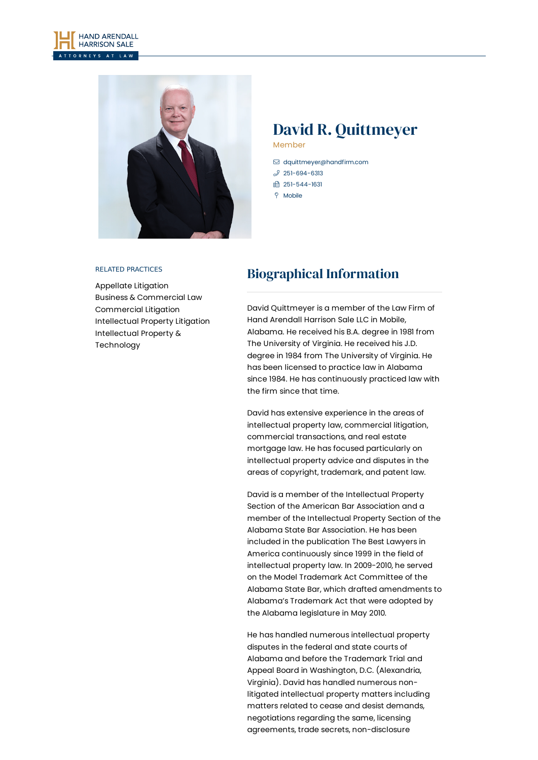



# David R. Quittmeyer

Member

- [dquittmeyer@handfirm.com](mailto:dquittmeyer@handfirm.com)
- $$251-694-6313$  $$251-694-6313$
- □ 251-544-1631
- $9$  Mobile

#### RELATED PRACTICES

[Appellate](https://www.handfirm.com/practices/litigation/appellate-litigation/) Litigation Business & [Commercial](https://www.handfirm.com/practices/business-services/business-commercial-law/) Law [Commercial](https://www.handfirm.com/practices/litigation/commercial-litigation/) Litigation [Intellectual](https://www.handfirm.com/practices/litigation/intellectual-property-litigation/) Property Litigation Intellectual Property & [Technology](https://www.handfirm.com/practices/business-services/intellectual-property-technology/)

## Biographical Information

David Quittmeyer is a member of the Law Firm of Hand Arendall Harrison Sale LLC in Mobile, Alabama. He received his B.A. degree in 1981 from The University of Virginia. He received his J.D. degree in 1984 from The University of Virginia. He has been licensed to practice law in Alabama since 1984. He has continuously practiced law with the firm since that time.

David has extensive experience in the areas of intellectual property law, commercial litigation, commercial transactions, and real estate mortgage law. He has focused particularly on intellectual property advice and disputes in the areas of copyright, trademark, and patent law.

David is a member of the Intellectual Property Section of the American Bar Association and a member of the Intellectual Property Section of the Alabama State Bar Association. He has been included in the publication The Best Lawyers in America continuously since 1999 in the field of intellectual property law. In 2009-2010, he served on the Model Trademark Act Committee of the Alabama State Bar, which drafted amendments to Alabama's Trademark Act that were adopted by the Alabama legislature in May 2010.

He has handled numerous intellectual property disputes in the federal and state courts of Alabama and before the Trademark Trial and Appeal Board in Washington, D.C. (Alexandria, Virginia). David has handled numerous nonlitigated intellectual property matters including matters related to cease and desist demands, negotiations regarding the same, licensing agreements, trade secrets, non-disclosure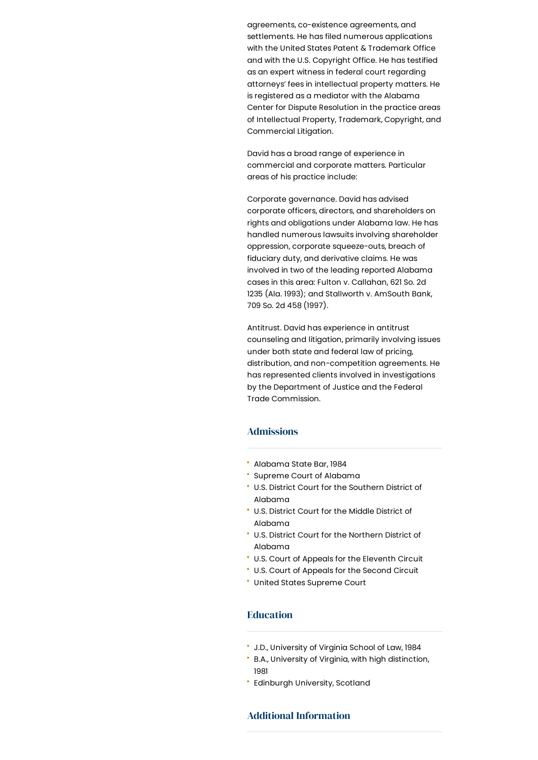agreements, co-existence agreements, and settlements. He has filed numerous applications with the United States Patent & Trademark Office and with the U.S. Copyright Office. He has testified as an expert witness in federal court regarding attorneys' fees in intellectual property matters. He is registered as a mediator with the Alabama Center for Dispute Resolution in the practice areas of Intellectual Property, Trademark, Copyright, and Commercial Litigation.

David has a broad range of experience in commercial and corporate matters. Particular areas of his practice include:

Corporate governance. David has advised corporate officers, directors, and shareholders on rights and obligations under Alabama law. He has handled numerous lawsuits involving shareholder oppression, corporate squeeze-outs, breach of fiduciary duty, and derivative claims. He was involved in two of the leading reported Alabama cases in this area: Fulton v. Callahan, 621 So. 2d 1235 (Ala. 1993); and Stallworth v. AmSouth Bank, 709 So. 2d 458 (1997).

Antitrust. David has experience in antitrust counseling and litigation, primarily involving issues under both state and federal law of pricing, distribution, and non-competition agreements. He has represented clients involved in investigations by the Department of Justice and the Federal Trade Commission.

## Admissions

- Alabama State Bar, 1984
- Supreme Court of Alabama
- U.S. District Court for the Southern District of Alabama
- U.S. District Court for the Middle District of Alabama
- U.S. District Court for the Northern District of Alabama
- U.S. Court of Appeals for the Eleventh Circuit
- U.S. Court of Appeals for the Second Circuit
- United States Supreme Court

## **Education**

- J.D., University of Virginia School of Law, 1984
- B.A., University of Virginia, with high distinction, 1981
- Edinburgh University, Scotland

## Additional Information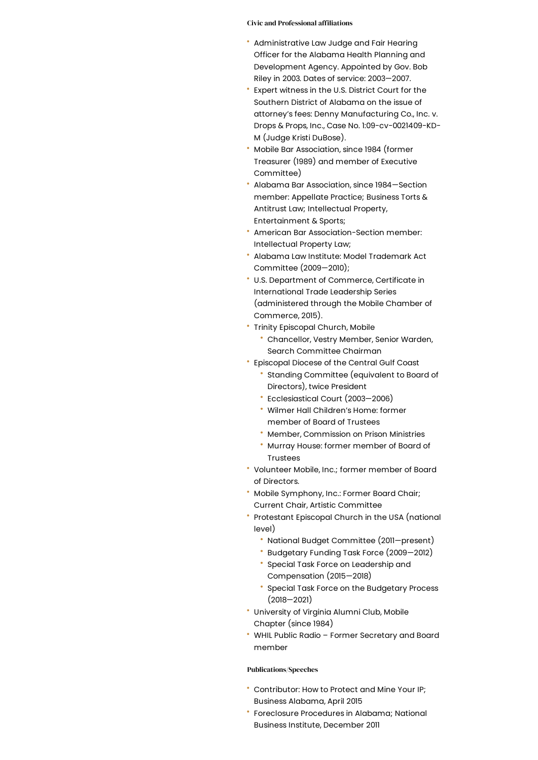#### Civic and Professional affiliations

- Administrative Law Judge and Fair Hearing Officer for the Alabama Health Planning and Development Agency. Appointed by Gov. Bob Riley in 2003. Dates of service: 2003—2007.
- Expert witness in the U.S. District Court for the Southern District of Alabama on the issue of attorney's fees: Denny Manufacturing Co., Inc. v. Drops & Props, Inc., Case No. 1:09-cv-0021409-KD- M (Judge Kristi DuBose).
- Mobile Bar Association, since 1984 (former Treasurer (1989) and member of Executive Committee)
- Alabama Bar Association, since 1984—Section member: Appellate Practice; Business Torts & Antitrust Law; Intellectual Property, Entertainment & Sports;
- American Bar Association-Section member: Intellectual Property Law;
- Alabama Law Institute: Model Trademark Act Committee (2009—2010);
- U.S. Department of Commerce, Certificate in International Trade Leadership Series (administered through the Mobile Chamber of Commerce, 2015).
- Trinity Episcopal Church, Mobile
	- Chancellor, Vestry Member, Senior Warden, Search Committee Chairman
- Episcopal Diocese of the Central Gulf Coast
	- Standing Committee (equivalent to Board of Directors), twice President
	- Ecclesiastical Court (2003—2006)
	- Wilmer Hall Children's Home: former member of Board of Trustees
	- Member, Commission on Prison Ministries
	- Murray House: former member of Board of Trustees
- Volunteer Mobile, Inc.; former member of Board of Directors.
- \* Mobile Symphony, Inc.: Former Board Chair; Current Chair, Artistic Committee
- Protestant Episcopal Church in the USA (national level)
	- National Budget Committee (2011—present)
	- Budgetary Funding Task Force (2009—2012)
	- Special Task Force on Leadership and Compensation (2015—2018)
	- Special Task Force on the Budgetary Process (2018—2021)
- University of Virginia Alumni Club, Mobile Chapter (since 1984)
- WHIL Public Radio Former Secretary and Board member

#### Publications/Speeches

- Contributor: How to Protect and Mine Your IP; Business Alabama, April 2015
- Foreclosure Procedures in Alabama; National Business Institute, December 2011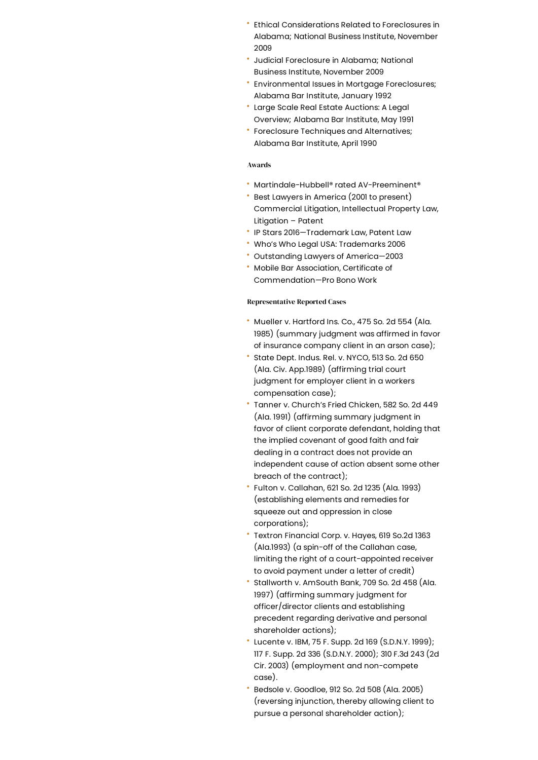- Ethical Considerations Related to Foreclosures in Alabama; National Business Institute, November 2009
- Judicial Foreclosure in Alabama; National Business Institute, November 2009
- Environmental Issues in Mortgage Foreclosures; Alabama Bar Institute, January 1992
- Large Scale Real Estate Auctions: A Legal Overview; Alabama Bar Institute, May 1991
- Foreclosure Techniques and Alternatives; Alabama Bar Institute, April 1990

#### Awards

- Martindale-Hubbell® rated AV-Preeminent®
- Best Lawyers in America (2001 to present) Commercial Litigation, Intellectual Property Law, Litigation – Patent
- IP Stars 2016—Trademark Law, Patent Law
- Who's Who Legal USA: Trademarks 2006
- Outstanding Lawyers of America—2003
- Mobile Bar Association, Certificate of Commendation—Pro Bono Work

### Representative Reported Cases

- Mueller v. Hartford Ins. Co., 475 So. 2d 554 (Ala. 1985) (summary judgment was affirmed in favor of insurance company client in an arson case);
- State Dept. Indus. Rel. v. NYCO, 513 So. 2d 650 (Ala. Civ. App.1989) (affirming trial court judgment for employer client in a workers compensation case);
- Tanner v. Church's Fried Chicken, 582 So. 2d 449 (Ala. 1991) (affirming summary judgment in favor of client corporate defendant, holding that the implied covenant of good faith and fair dealing in a contract does not provide an independent cause of action absent some other breach of the contract);
- Fulton v. Callahan, 621 So. 2d 1235 (Ala. 1993) (establishing elements and remedies for squeeze out and oppression in close corporations);
- Textron Financial Corp. v. Hayes, 619 So.2d 1363 (Ala.1993) (a spin-off of the Callahan case, limiting the right of a court-appointed receiver to avoid payment under a letter of credit)
- Stallworth v. AmSouth Bank, 709 So. 2d 458 (Ala. 1997) (affirming summary judgment for officer/director clients and establishing precedent regarding derivative and personal shareholder actions);
- Lucente v. IBM, 75 F. Supp. 2d 169 (S.D.N.Y. 1999); 117 F. Supp. 2d 336 (S.D.N.Y. 2000); 310 F.3d 243 (2d Cir. 2003) (employment and non-compete case).
- Bedsole v. Goodloe, 912 So. 2d 508 (Ala. 2005) (reversing injunction, thereby allowing client to pursue a personal shareholder action);